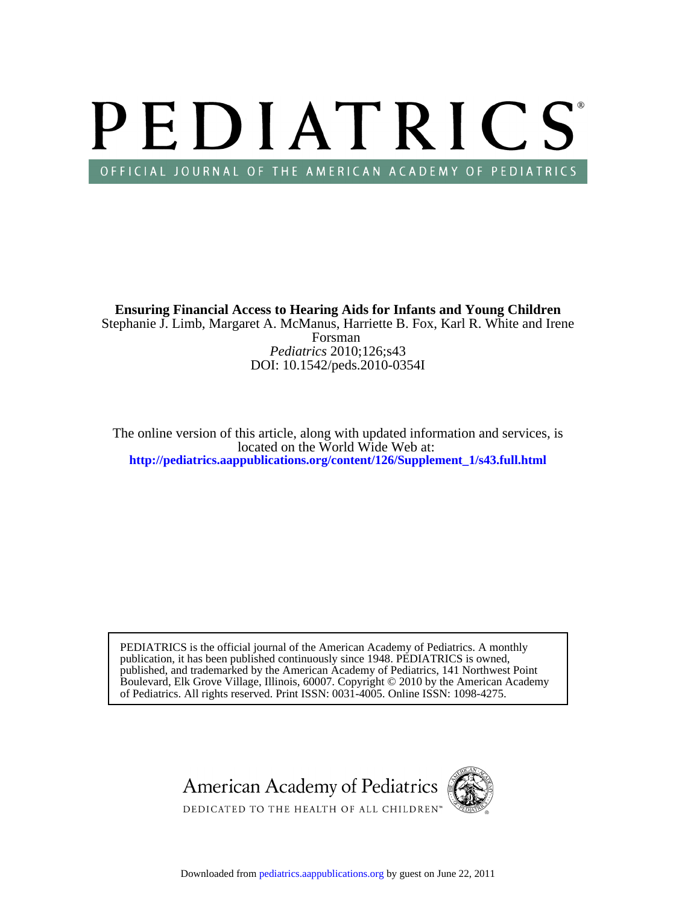# PEDIATRICS OFFICIAL JOURNAL OF THE AMERICAN ACADEMY OF PEDIATRICS

DOI: 10.1542/peds.2010-0354I *Pediatrics* 2010;126;s43 Forsman Stephanie J. Limb, Margaret A. McManus, Harriette B. Fox, Karl R. White and Irene **Ensuring Financial Access to Hearing Aids for Infants and Young Children**

**[http://pediatrics.aappublications.org/content/126/Supplement\\_1/s43.full.html](http://pediatrics.aappublications.org/content/126/Supplement_1/s43.full.html)** located on the World Wide Web at: The online version of this article, along with updated information and services, is

of Pediatrics. All rights reserved. Print ISSN: 0031-4005. Online ISSN: 1098-4275. Boulevard, Elk Grove Village, Illinois, 60007. Copyright © 2010 by the American Academy published, and trademarked by the American Academy of Pediatrics, 141 Northwest Point publication, it has been published continuously since 1948. PEDIATRICS is owned, PEDIATRICS is the official journal of the American Academy of Pediatrics. A monthly

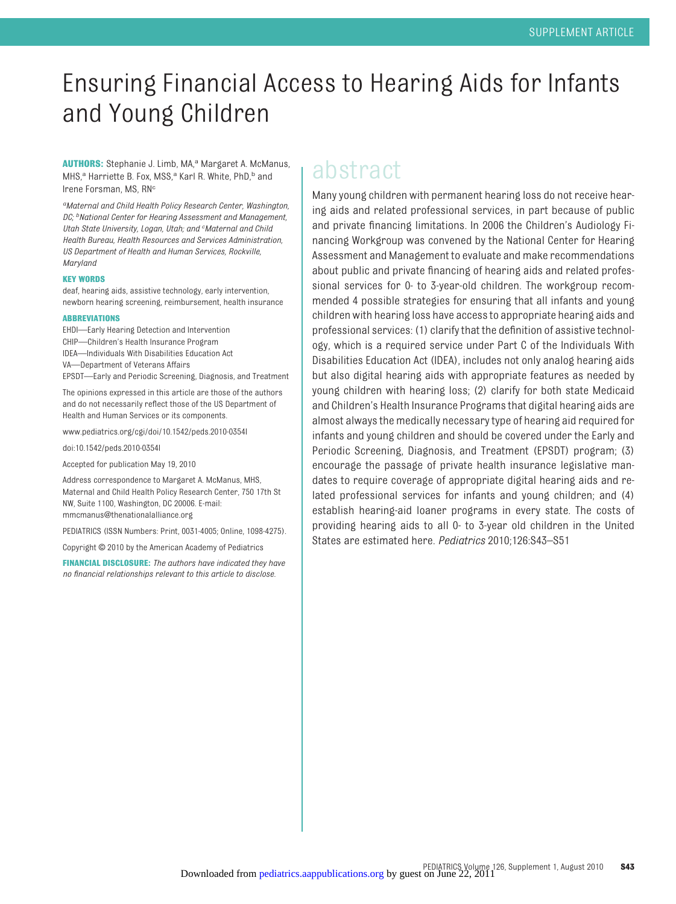# Ensuring Financial Access to Hearing Aids for Infants and Young Children

AUTHORS: Stephanie J. Limb, MA,<sup>a</sup> Margaret A. McManus, MHS,<sup>a</sup> Harriette B. Fox, MSS,<sup>a</sup> Karl R. White, PhD,<sup>b</sup> and Irene Forsman, MS, RNc

*aMaternal and Child Health Policy Research Center, Washington, DC; bNational Center for Hearing Assessment and Management, Utah State University, Logan, Utah; and <sup>c</sup> Maternal and Child Health Bureau, Health Resources and Services Administration, US Department of Health and Human Services, Rockville, Maryland*

#### **KEY WORDS**

deaf, hearing aids, assistive technology, early intervention, newborn hearing screening, reimbursement, health insurance

#### **ABBREVIATIONS**

EHDI—Early Hearing Detection and Intervention

- CHIP—Children's Health Insurance Program
- IDEA—Individuals With Disabilities Education Act
- VA—Department of Veterans Affairs

EPSDT—Early and Periodic Screening, Diagnosis, and Treatment

The opinions expressed in this article are those of the authors and do not necessarily reflect those of the US Department of Health and Human Services or its components.

www.pediatrics.org/cgi/doi/10.1542/peds.2010-0354I

doi:10.1542/peds.2010-0354I

Accepted for publication May 19, 2010

Address correspondence to Margaret A. McManus, MHS, Maternal and Child Health Policy Research Center, 750 17th St NW, Suite 1100, Washington, DC 20006. E-mail: mmcmanus@thenationalalliance.org

PEDIATRICS (ISSN Numbers: Print, 0031-4005; Online, 1098-4275).

Copyright © 2010 by the American Academy of Pediatrics

**FINANCIAL DISCLOSURE:** *The authors have indicated they have no financial relationships relevant to this article to disclose.*

# abstract

Many young children with permanent hearing loss do not receive hearing aids and related professional services, in part because of public and private financing limitations. In 2006 the Children's Audiology Financing Workgroup was convened by the National Center for Hearing Assessment and Management to evaluate and make recommendations about public and private financing of hearing aids and related professional services for 0- to 3-year-old children. The workgroup recommended 4 possible strategies for ensuring that all infants and young children with hearing loss have access to appropriate hearing aids and professional services: (1) clarify that the definition of assistive technology, which is a required service under Part C of the Individuals With Disabilities Education Act (IDEA), includes not only analog hearing aids but also digital hearing aids with appropriate features as needed by young children with hearing loss; (2) clarify for both state Medicaid and Children's Health Insurance Programs that digital hearing aids are almost always the medically necessary type of hearing aid required for infants and young children and should be covered under the Early and Periodic Screening, Diagnosis, and Treatment (EPSDT) program; (3) encourage the passage of private health insurance legislative mandates to require coverage of appropriate digital hearing aids and related professional services for infants and young children; and (4) establish hearing-aid loaner programs in every state. The costs of providing hearing aids to all 0- to 3-year old children in the United States are estimated here. *Pediatrics* 2010;126:S43–S51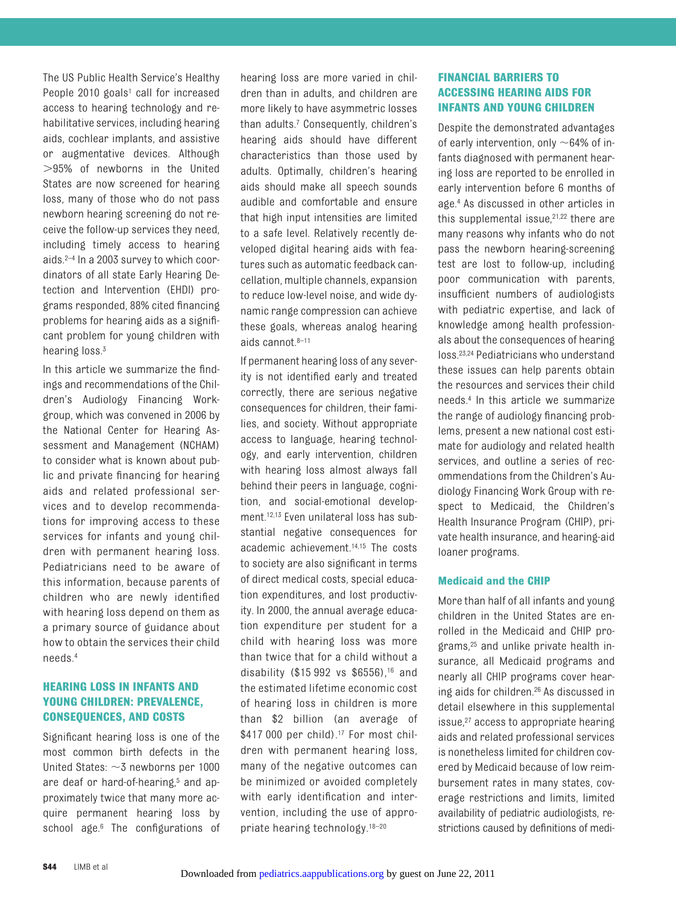The US Public Health Service's Healthy People  $2010$  goals<sup>1</sup> call for increased access to hearing technology and rehabilitative services, including hearing aids, cochlear implants, and assistive or augmentative devices. Although 95% of newborns in the United States are now screened for hearing loss, many of those who do not pass newborn hearing screening do not receive the follow-up services they need, including timely access to hearing aids.2–4 In a 2003 survey to which coordinators of all state Early Hearing Detection and Intervention (EHDI) programs responded, 88% cited financing problems for hearing aids as a significant problem for young children with hearing loss.3

In this article we summarize the findings and recommendations of the Children's Audiology Financing Workgroup, which was convened in 2006 by the National Center for Hearing Assessment and Management (NCHAM) to consider what is known about public and private financing for hearing aids and related professional services and to develop recommendations for improving access to these services for infants and young children with permanent hearing loss. Pediatricians need to be aware of this information, because parents of children who are newly identified with hearing loss depend on them as a primary source of guidance about how to obtain the services their child needs.4

# **HEARING LOSS IN INFANTS AND YOUNG CHILDREN: PREVALENCE, CONSEQUENCES, AND COSTS**

Significant hearing loss is one of the most common birth defects in the United States:  $\sim$ 3 newborns per 1000 are deaf or hard-of-hearing,<sup>5</sup> and approximately twice that many more acquire permanent hearing loss by school age.<sup>6</sup> The configurations of hearing loss are more varied in children than in adults, and children are more likely to have asymmetric losses than adults.<sup>7</sup> Consequently, children's hearing aids should have different characteristics than those used by adults. Optimally, children's hearing aids should make all speech sounds audible and comfortable and ensure that high input intensities are limited to a safe level. Relatively recently developed digital hearing aids with features such as automatic feedback cancellation, multiple channels, expansion to reduce low-level noise, and wide dynamic range compression can achieve these goals, whereas analog hearing aids cannot.<sup>8-11</sup>

If permanent hearing loss of any severity is not identified early and treated correctly, there are serious negative consequences for children, their families, and society. Without appropriate access to language, hearing technology, and early intervention, children with hearing loss almost always fall behind their peers in language, cognition, and social-emotional development.12,13 Even unilateral loss has substantial negative consequences for academic achievement.14,15 The costs to society are also significant in terms of direct medical costs, special education expenditures, and lost productivity. In 2000, the annual average education expenditure per student for a child with hearing loss was more than twice that for a child without a disability (\$15 992 vs \$6556),16 and the estimated lifetime economic cost of hearing loss in children is more than \$2 billion (an average of  $$417,000$  per child).<sup>17</sup> For most children with permanent hearing loss, many of the negative outcomes can be minimized or avoided completely with early identification and intervention, including the use of appropriate hearing technology.18–20

# **FINANCIAL BARRIERS TO ACCESSING HEARING AIDS FOR INFANTS AND YOUNG CHILDREN**

Despite the demonstrated advantages of early intervention, only  $\sim$  64% of infants diagnosed with permanent hearing loss are reported to be enrolled in early intervention before 6 months of age.4 As discussed in other articles in this supplemental issue,21,22 there are many reasons why infants who do not pass the newborn hearing-screening test are lost to follow-up, including poor communication with parents, insufficient numbers of audiologists with pediatric expertise, and lack of knowledge among health professionals about the consequences of hearing loss.23,24 Pediatricians who understand these issues can help parents obtain the resources and services their child needs.4 In this article we summarize the range of audiology financing problems, present a new national cost estimate for audiology and related health services, and outline a series of recommendations from the Children's Audiology Financing Work Group with respect to Medicaid, the Children's Health Insurance Program (CHIP), private health insurance, and hearing-aid loaner programs.

# **Medicaid and the CHIP**

More than half of all infants and young children in the United States are enrolled in the Medicaid and CHIP programs,25 and unlike private health insurance, all Medicaid programs and nearly all CHIP programs cover hearing aids for children.26 As discussed in detail elsewhere in this supplemental issue, $27$  access to appropriate hearing aids and related professional services is nonetheless limited for children covered by Medicaid because of low reimbursement rates in many states, coverage restrictions and limits, limited availability of pediatric audiologists, restrictions caused by definitions of medi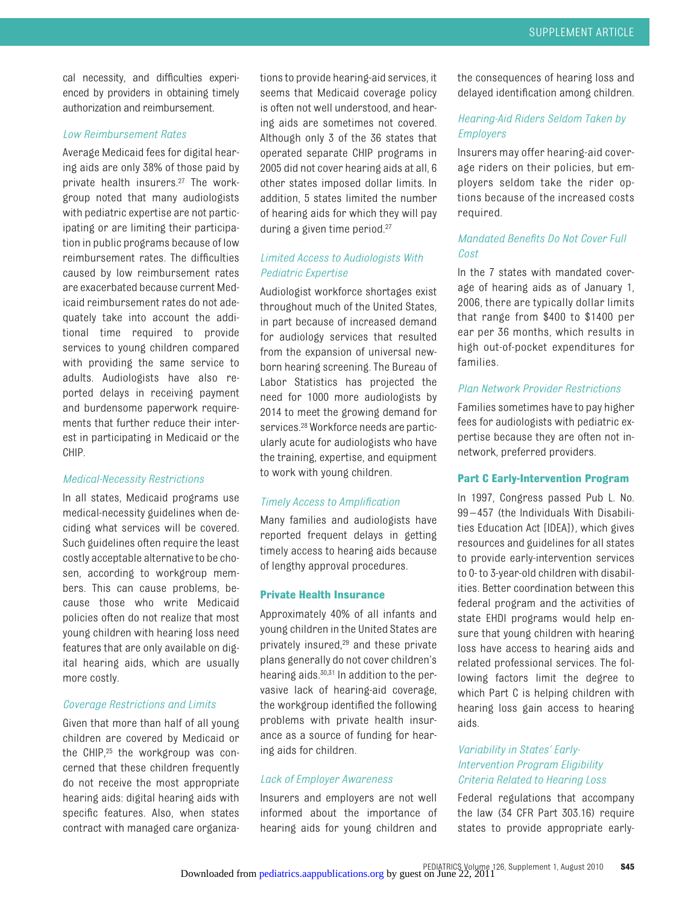cal necessity, and difficulties experienced by providers in obtaining timely authorization and reimbursement.

# *Low Reimbursement Rates*

Average Medicaid fees for digital hearing aids are only 38% of those paid by private health insurers.27 The workgroup noted that many audiologists with pediatric expertise are not participating or are limiting their participation in public programs because of low reimbursement rates. The difficulties caused by low reimbursement rates are exacerbated because current Medicaid reimbursement rates do not adequately take into account the additional time required to provide services to young children compared with providing the same service to adults. Audiologists have also reported delays in receiving payment and burdensome paperwork requirements that further reduce their interest in participating in Medicaid or the CHIP.

#### *Medical-Necessity Restrictions*

In all states, Medicaid programs use medical-necessity guidelines when deciding what services will be covered. Such guidelines often require the least costly acceptable alternative to be chosen, according to workgroup members. This can cause problems, because those who write Medicaid policies often do not realize that most young children with hearing loss need features that are only available on digital hearing aids, which are usually more costly.

#### *Coverage Restrictions and Limits*

Given that more than half of all young children are covered by Medicaid or the CHIP,25 the workgroup was concerned that these children frequently do not receive the most appropriate hearing aids: digital hearing aids with specific features. Also, when states contract with managed care organizations to provide hearing-aid services, it seems that Medicaid coverage policy is often not well understood, and hearing aids are sometimes not covered. Although only 3 of the 36 states that operated separate CHIP programs in 2005 did not cover hearing aids at all, 6 other states imposed dollar limits. In addition, 5 states limited the number of hearing aids for which they will pay during a given time period.27

# *Limited Access to Audiologists With Pediatric Expertise*

Audiologist workforce shortages exist throughout much of the United States, in part because of increased demand for audiology services that resulted from the expansion of universal newborn hearing screening. The Bureau of Labor Statistics has projected the need for 1000 more audiologists by 2014 to meet the growing demand for services.28Workforce needs are particularly acute for audiologists who have the training, expertise, and equipment to work with young children.

#### *Timely Access to Amplification*

Many families and audiologists have reported frequent delays in getting timely access to hearing aids because of lengthy approval procedures.

#### **Private Health Insurance**

Approximately 40% of all infants and young children in the United States are privately insured,29 and these private plans generally do not cover children's hearing aids.<sup>30,31</sup> In addition to the pervasive lack of hearing-aid coverage, the workgroup identified the following problems with private health insurance as a source of funding for hearing aids for children.

#### *Lack of Employer Awareness*

Insurers and employers are not well informed about the importance of hearing aids for young children and

the consequences of hearing loss and delayed identification among children.

# *Hearing-Aid Riders Seldom Taken by Employers*

Insurers may offer hearing-aid coverage riders on their policies, but employers seldom take the rider options because of the increased costs required.

# *Mandated Benefits Do Not Cover Full Cost*

In the 7 states with mandated coverage of hearing aids as of January 1, 2006, there are typically dollar limits that range from \$400 to \$1400 per ear per 36 months, which results in high out-of-pocket expenditures for families.

#### *Plan Network Provider Restrictions*

Families sometimes have to pay higher fees for audiologists with pediatric expertise because they are often not innetwork, preferred providers.

#### **Part C Early-Intervention Program**

In 1997, Congress passed Pub L. No. 99 – 457 (the Individuals With Disabilities Education Act [IDEA]), which gives resources and guidelines for all states to provide early-intervention services to 0- to 3-year-old children with disabilities. Better coordination between this federal program and the activities of state EHDI programs would help ensure that young children with hearing loss have access to hearing aids and related professional services. The following factors limit the degree to which Part C is helping children with hearing loss gain access to hearing aids.

# *Variability in States' Early-Intervention Program Eligibility Criteria Related to Hearing Loss*

Federal regulations that accompany the law (34 CFR Part 303.16) require states to provide appropriate early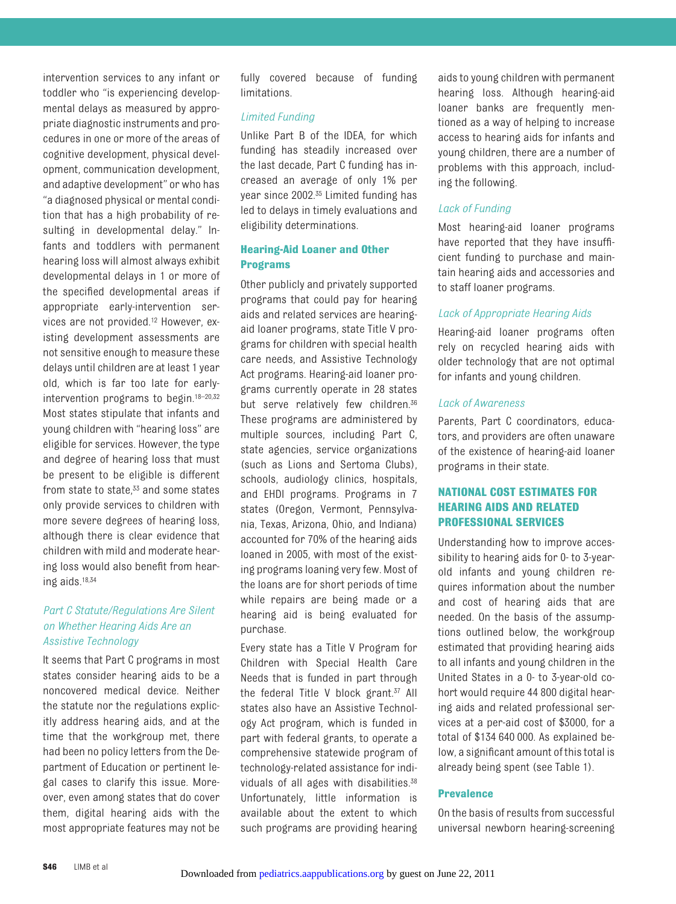intervention services to any infant or toddler who "is experiencing developmental delays as measured by appropriate diagnostic instruments and procedures in one or more of the areas of cognitive development, physical development, communication development, and adaptive development" or who has "a diagnosed physical or mental condition that has a high probability of resulting in developmental delay." Infants and toddlers with permanent hearing loss will almost always exhibit developmental delays in 1 or more of the specified developmental areas if appropriate early-intervention services are not provided.12 However, existing development assessments are not sensitive enough to measure these delays until children are at least 1 year old, which is far too late for earlyintervention programs to begin.18–20,32 Most states stipulate that infants and young children with "hearing loss" are eligible for services. However, the type and degree of hearing loss that must be present to be eligible is different from state to state, $33$  and some states only provide services to children with more severe degrees of hearing loss, although there is clear evidence that children with mild and moderate hearing loss would also benefit from hearing aids.18,34

# *Part C Statute/Regulations Are Silent on Whether Hearing Aids Are an Assistive Technology*

It seems that Part C programs in most states consider hearing aids to be a noncovered medical device. Neither the statute nor the regulations explicitly address hearing aids, and at the time that the workgroup met, there had been no policy letters from the Department of Education or pertinent legal cases to clarify this issue. Moreover, even among states that do cover them, digital hearing aids with the most appropriate features may not be fully covered because of funding limitations.

#### *Limited Funding*

Unlike Part B of the IDEA, for which funding has steadily increased over the last decade, Part C funding has increased an average of only 1% per year since 2002.35 Limited funding has led to delays in timely evaluations and eligibility determinations.

# **Hearing-Aid Loaner and Other Programs**

Other publicly and privately supported programs that could pay for hearing aids and related services are hearingaid loaner programs, state Title V programs for children with special health care needs, and Assistive Technology Act programs. Hearing-aid loaner programs currently operate in 28 states but serve relatively few children.<sup>36</sup> These programs are administered by multiple sources, including Part C, state agencies, service organizations (such as Lions and Sertoma Clubs), schools, audiology clinics, hospitals, and EHDI programs. Programs in 7 states (Oregon, Vermont, Pennsylvania, Texas, Arizona, Ohio, and Indiana) accounted for 70% of the hearing aids loaned in 2005, with most of the existing programs loaning very few. Most of the loans are for short periods of time while repairs are being made or a hearing aid is being evaluated for purchase.

Every state has a Title V Program for Children with Special Health Care Needs that is funded in part through the federal Title V block grant.<sup>37</sup> All states also have an Assistive Technology Act program, which is funded in part with federal grants, to operate a comprehensive statewide program of technology-related assistance for individuals of all ages with disabilities.<sup>38</sup> Unfortunately, little information is available about the extent to which such programs are providing hearing aids to young children with permanent hearing loss. Although hearing-aid loaner banks are frequently mentioned as a way of helping to increase access to hearing aids for infants and young children, there are a number of problems with this approach, including the following.

#### *Lack of Funding*

Most hearing-aid loaner programs have reported that they have insufficient funding to purchase and maintain hearing aids and accessories and to staff loaner programs.

#### *Lack of Appropriate Hearing Aids*

Hearing-aid loaner programs often rely on recycled hearing aids with older technology that are not optimal for infants and young children.

#### *Lack of Awareness*

Parents, Part C coordinators, educators, and providers are often unaware of the existence of hearing-aid loaner programs in their state.

# **NATIONAL COST ESTIMATES FOR HEARING AIDS AND RELATED PROFESSIONAL SERVICES**

Understanding how to improve accessibility to hearing aids for 0- to 3-yearold infants and young children requires information about the number and cost of hearing aids that are needed. On the basis of the assumptions outlined below, the workgroup estimated that providing hearing aids to all infants and young children in the United States in a 0- to 3-year-old cohort would require 44 800 digital hearing aids and related professional services at a per-aid cost of \$3000, for a total of \$134 640 000. As explained below, a significant amount of this total is already being spent (see Table 1).

# **Prevalence**

On the basis of results from successful universal newborn hearing-screening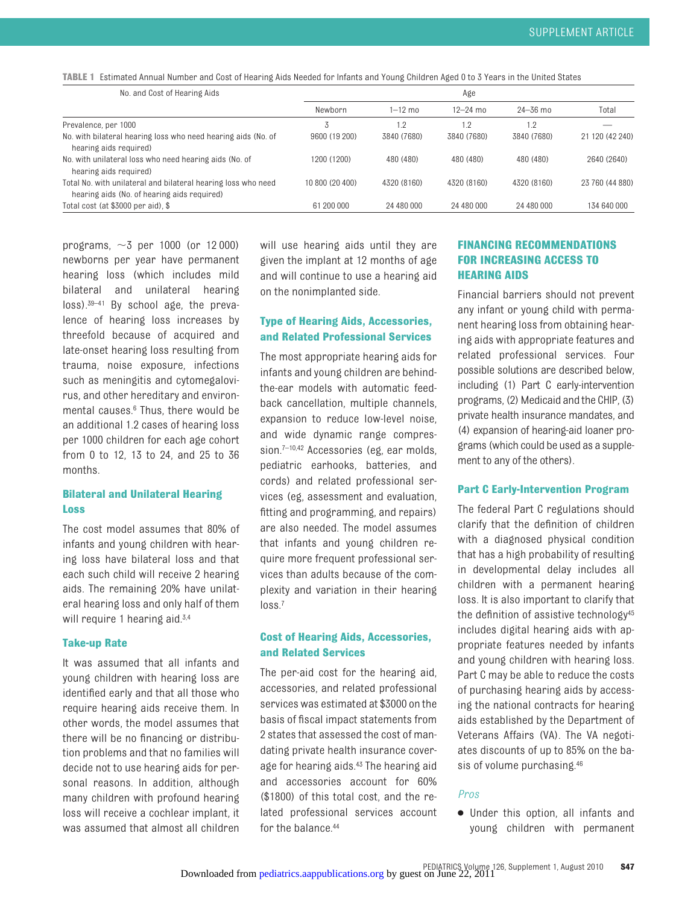**TABLE 1** Estimated Annual Number and Cost of Hearing Aids Needed for Infants and Young Children Aged 0 to 3 Years in the United States

| No. and Cost of Hearing Aids                                                                                 | Age             |             |              |              |                 |
|--------------------------------------------------------------------------------------------------------------|-----------------|-------------|--------------|--------------|-----------------|
|                                                                                                              | Newborn         | $1 - 12$ mo | $12 - 24$ mo | $24 - 36$ mo | Total           |
| Prevalence, per 1000                                                                                         | O               | 1.2         | 1.2          | 1.2          |                 |
| No. with bilateral hearing loss who need hearing aids (No. of<br>hearing aids required)                      | 9600 (19 200)   | 3840 (7680) | 3840 (7680)  | 3840 (7680)  | 21 120 (42 240) |
| No. with unilateral loss who need hearing aids (No. of<br>hearing aids required)                             | 1200 (1200)     | 480 (480)   | 480 (480)    | 480 (480)    | 2640 (2640)     |
| Total No. with unilateral and bilateral hearing loss who need<br>hearing aids (No. of hearing aids required) | 10 800 (20 400) | 4320 (8160) | 4320 (8160)  | 4320 (8160)  | 23 760 (44 880) |
| Total cost (at \$3000 per aid), \$                                                                           | 61 200 000      | 24 480 000  | 24 480 000   | 24 480 000   | 134 640 000     |

programs,  $\sim$ 3 per 1000 (or 12000) newborns per year have permanent hearing loss (which includes mild bilateral and unilateral hearing loss).39–41 By school age, the prevalence of hearing loss increases by threefold because of acquired and late-onset hearing loss resulting from trauma, noise exposure, infections such as meningitis and cytomegalovirus, and other hereditary and environmental causes.6 Thus, there would be an additional 1.2 cases of hearing loss per 1000 children for each age cohort from 0 to 12, 13 to 24, and 25 to 36 months.

# **Bilateral and Unilateral Hearing Loss**

The cost model assumes that 80% of infants and young children with hearing loss have bilateral loss and that each such child will receive 2 hearing aids. The remaining 20% have unilateral hearing loss and only half of them will require 1 hearing aid.<sup>3,4</sup>

#### **Take-up Rate**

It was assumed that all infants and young children with hearing loss are identified early and that all those who require hearing aids receive them. In other words, the model assumes that there will be no financing or distribution problems and that no families will decide not to use hearing aids for personal reasons. In addition, although many children with profound hearing loss will receive a cochlear implant, it was assumed that almost all children

will use hearing aids until they are given the implant at 12 months of age and will continue to use a hearing aid on the nonimplanted side.

# **Type of Hearing Aids, Accessories, and Related Professional Services**

The most appropriate hearing aids for infants and young children are behindthe-ear models with automatic feedback cancellation, multiple channels, expansion to reduce low-level noise, and wide dynamic range compression.<sup>7-10,42</sup> Accessories (eg, ear molds, pediatric earhooks, batteries, and cords) and related professional services (eg, assessment and evaluation, fitting and programming, and repairs) are also needed. The model assumes that infants and young children require more frequent professional services than adults because of the complexity and variation in their hearing loss.<sup>7</sup>

# **Cost of Hearing Aids, Accessories, and Related Services**

The per-aid cost for the hearing aid, accessories, and related professional services was estimated at \$3000 on the basis of fiscal impact statements from 2 states that assessed the cost of mandating private health insurance coverage for hearing aids.43 The hearing aid and accessories account for 60% (\$1800) of this total cost, and the related professional services account for the balance.<sup>44</sup>

# **FINANCING RECOMMENDATIONS FOR INCREASING ACCESS TO HEARING AIDS**

Financial barriers should not prevent any infant or young child with permanent hearing loss from obtaining hearing aids with appropriate features and related professional services. Four possible solutions are described below, including (1) Part C early-intervention programs, (2) Medicaid and the CHIP, (3) private health insurance mandates, and (4) expansion of hearing-aid loaner programs (which could be used as a supplement to any of the others).

#### **Part C Early-Intervention Program**

The federal Part C regulations should clarify that the definition of children with a diagnosed physical condition that has a high probability of resulting in developmental delay includes all children with a permanent hearing loss. It is also important to clarify that the definition of assistive technology<sup>45</sup> includes digital hearing aids with appropriate features needed by infants and young children with hearing loss. Part C may be able to reduce the costs of purchasing hearing aids by accessing the national contracts for hearing aids established by the Department of Veterans Affairs (VA). The VA negotiates discounts of up to 85% on the basis of volume purchasing.46

#### *Pros*

● Under this option, all infants and young children with permanent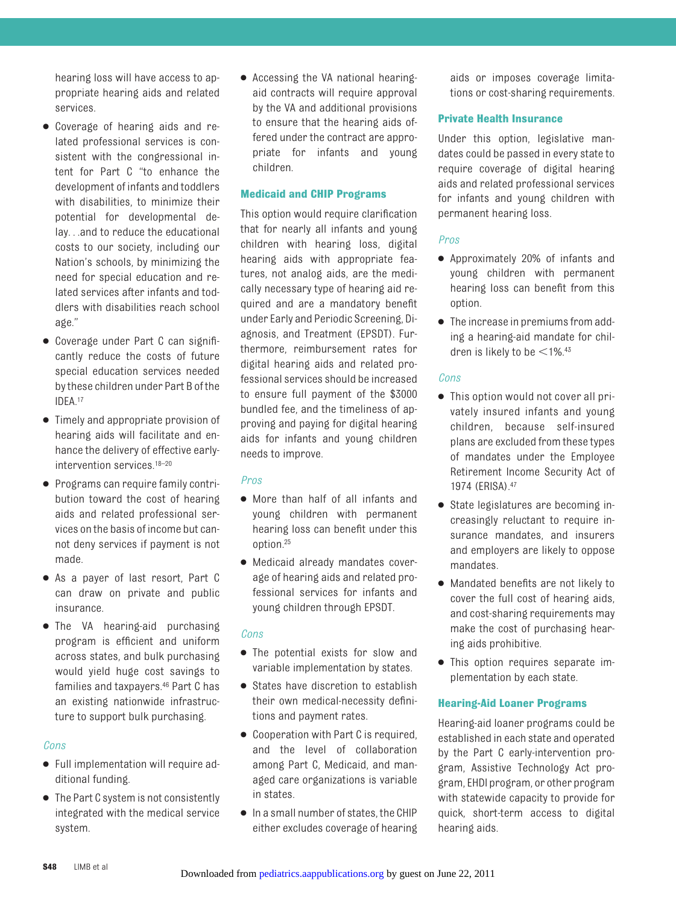hearing loss will have access to appropriate hearing aids and related services.

- Coverage of hearing aids and related professional services is consistent with the congressional intent for Part C "to enhance the development of infants and toddlers with disabilities, to minimize their potential for developmental delay. . .and to reduce the educational costs to our society, including our Nation's schools, by minimizing the need for special education and related services after infants and toddlers with disabilities reach school age."
- Coverage under Part C can significantly reduce the costs of future special education services needed by these children under Part B of the IDEA.17
- Timely and appropriate provision of hearing aids will facilitate and enhance the delivery of effective earlyintervention services.<sup>18-20</sup>
- Programs can require family contribution toward the cost of hearing aids and related professional services on the basis of income but cannot deny services if payment is not made.
- As a payer of last resort, Part C can draw on private and public insurance.
- The VA hearing-aid purchasing program is efficient and uniform across states, and bulk purchasing would yield huge cost savings to families and taxpayers.46 Part C has an existing nationwide infrastructure to support bulk purchasing.

#### *Cons*

- Full implementation will require additional funding.
- The Part C system is not consistently integrated with the medical service system.

● Accessing the VA national hearingaid contracts will require approval by the VA and additional provisions to ensure that the hearing aids offered under the contract are appropriate for infants and young children.

#### **Medicaid and CHIP Programs**

This option would require clarification that for nearly all infants and young children with hearing loss, digital hearing aids with appropriate features, not analog aids, are the medically necessary type of hearing aid required and are a mandatory benefit under Early and Periodic Screening, Diagnosis, and Treatment (EPSDT). Furthermore, reimbursement rates for digital hearing aids and related professional services should be increased to ensure full payment of the \$3000 bundled fee, and the timeliness of approving and paying for digital hearing aids for infants and young children needs to improve.

#### *Pros*

- More than half of all infants and young children with permanent hearing loss can benefit under this option.25
- Medicaid already mandates coverage of hearing aids and related professional services for infants and young children through EPSDT.

#### *Cons*

- The potential exists for slow and variable implementation by states.
- States have discretion to establish their own medical-necessity definitions and payment rates.
- Cooperation with Part C is required, and the level of collaboration among Part C, Medicaid, and managed care organizations is variable in states.
- In a small number of states, the CHIP either excludes coverage of hearing

aids or imposes coverage limitations or cost-sharing requirements.

#### **Private Health Insurance**

Under this option, legislative mandates could be passed in every state to require coverage of digital hearing aids and related professional services for infants and young children with permanent hearing loss.

# *Pros*

- Approximately 20% of infants and young children with permanent hearing loss can benefit from this option.
- The increase in premiums from adding a hearing-aid mandate for children is likely to be  $\leq$ 1%.<sup>43</sup>

# *Cons*

- This option would not cover all privately insured infants and young children, because self-insured plans are excluded from these types of mandates under the Employee Retirement Income Security Act of 1974 (ERISA).47
- State legislatures are becoming increasingly reluctant to require insurance mandates, and insurers and employers are likely to oppose mandates.
- Mandated benefits are not likely to cover the full cost of hearing aids, and cost-sharing requirements may make the cost of purchasing hearing aids prohibitive.
- This option requires separate implementation by each state.

# **Hearing-Aid Loaner Programs**

Hearing-aid loaner programs could be established in each state and operated by the Part C early-intervention program, Assistive Technology Act program, EHDI program, or other program with statewide capacity to provide for quick, short-term access to digital hearing aids.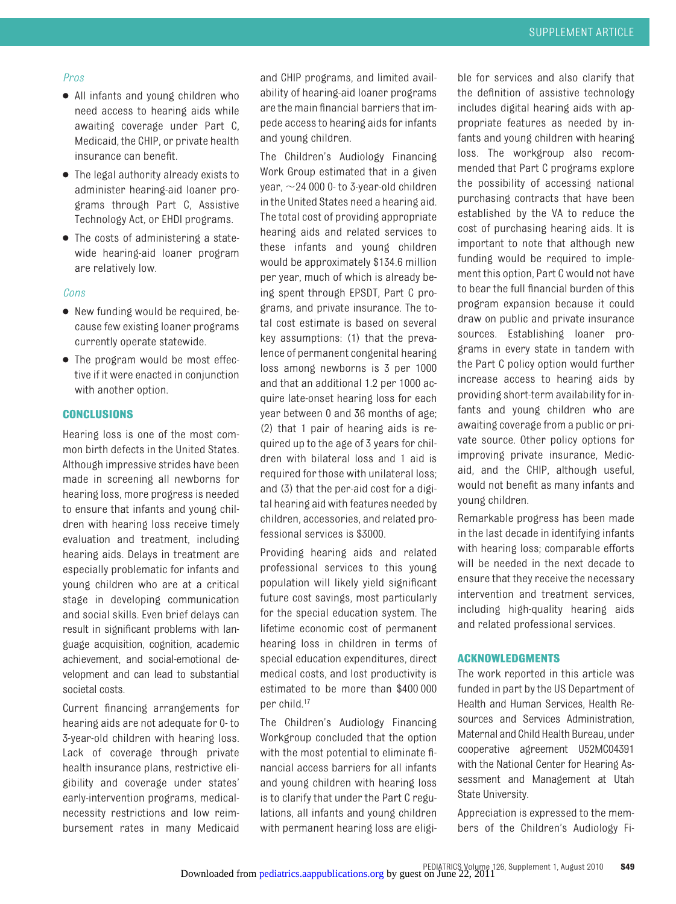#### *Pros*

- All infants and young children who need access to hearing aids while awaiting coverage under Part C, Medicaid, the CHIP, or private health insurance can benefit.
- The legal authority already exists to administer hearing-aid loaner programs through Part C, Assistive Technology Act, or EHDI programs.
- The costs of administering a statewide hearing-aid loaner program are relatively low.

#### *Cons*

- New funding would be required, because few existing loaner programs currently operate statewide.
- The program would be most effective if it were enacted in conjunction with another option.

### **CONCLUSIONS**

Hearing loss is one of the most common birth defects in the United States. Although impressive strides have been made in screening all newborns for hearing loss, more progress is needed to ensure that infants and young children with hearing loss receive timely evaluation and treatment, including hearing aids. Delays in treatment are especially problematic for infants and young children who are at a critical stage in developing communication and social skills. Even brief delays can result in significant problems with language acquisition, cognition, academic achievement, and social-emotional development and can lead to substantial societal costs.

Current financing arrangements for hearing aids are not adequate for 0- to 3-year-old children with hearing loss. Lack of coverage through private health insurance plans, restrictive eligibility and coverage under states' early-intervention programs, medicalnecessity restrictions and low reimbursement rates in many Medicaid

and CHIP programs, and limited availability of hearing-aid loaner programs are the main financial barriers that impede access to hearing aids for infants and young children.

The Children's Audiology Financing Work Group estimated that in a given year,  $\sim$ 24 000 0- to 3-year-old children in the United States need a hearing aid. The total cost of providing appropriate hearing aids and related services to these infants and young children would be approximately \$134.6 million per year, much of which is already being spent through EPSDT, Part C programs, and private insurance. The total cost estimate is based on several key assumptions: (1) that the prevalence of permanent congenital hearing loss among newborns is 3 per 1000 and that an additional 1.2 per 1000 acquire late-onset hearing loss for each year between 0 and 36 months of age; (2) that 1 pair of hearing aids is required up to the age of 3 years for children with bilateral loss and 1 aid is required for those with unilateral loss; and (3) that the per-aid cost for a digital hearing aid with features needed by children, accessories, and related professional services is \$3000.

Providing hearing aids and related professional services to this young population will likely yield significant future cost savings, most particularly for the special education system. The lifetime economic cost of permanent hearing loss in children in terms of special education expenditures, direct medical costs, and lost productivity is estimated to be more than \$400 000 per child.17

The Children's Audiology Financing Workgroup concluded that the option with the most potential to eliminate financial access barriers for all infants and young children with hearing loss is to clarify that under the Part C regulations, all infants and young children with permanent hearing loss are eligible for services and also clarify that the definition of assistive technology includes digital hearing aids with appropriate features as needed by infants and young children with hearing loss. The workgroup also recommended that Part C programs explore the possibility of accessing national purchasing contracts that have been established by the VA to reduce the cost of purchasing hearing aids. It is important to note that although new funding would be required to implement this option, Part C would not have to bear the full financial burden of this program expansion because it could draw on public and private insurance sources. Establishing loaner programs in every state in tandem with the Part C policy option would further increase access to hearing aids by providing short-term availability for infants and young children who are awaiting coverage from a public or private source. Other policy options for improving private insurance, Medicaid, and the CHIP, although useful, would not benefit as many infants and young children.

Remarkable progress has been made in the last decade in identifying infants with hearing loss; comparable efforts will be needed in the next decade to ensure that they receive the necessary intervention and treatment services, including high-quality hearing aids and related professional services.

#### **ACKNOWLEDGMENTS**

The work reported in this article was funded in part by the US Department of Health and Human Services, Health Resources and Services Administration, Maternal and Child Health Bureau, under cooperative agreement U52MC04391 with the National Center for Hearing Assessment and Management at Utah State University.

Appreciation is expressed to the members of the Children's Audiology Fi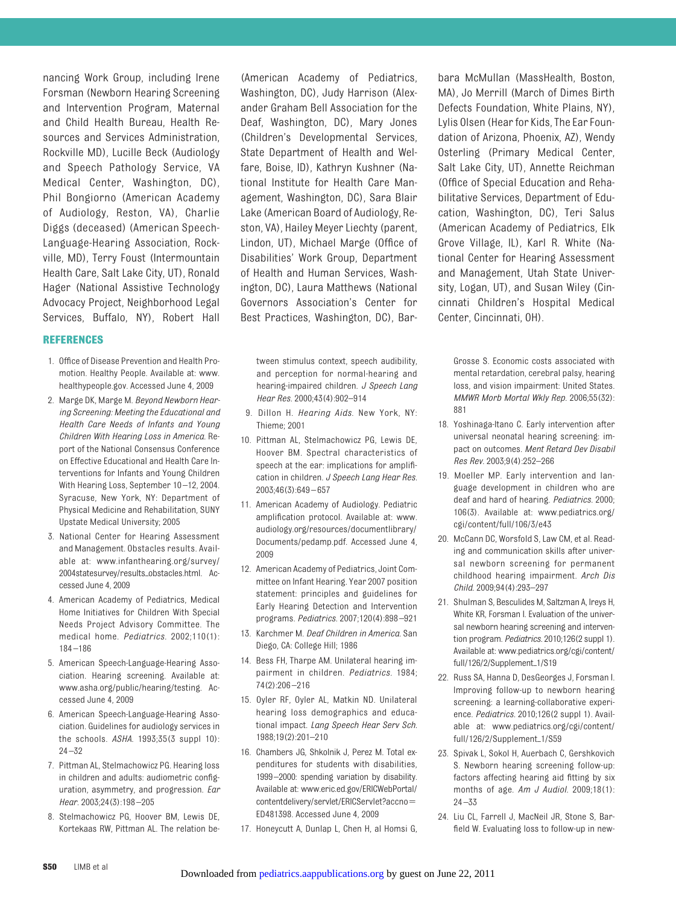nancing Work Group, including Irene Forsman (Newborn Hearing Screening and Intervention Program, Maternal and Child Health Bureau, Health Resources and Services Administration, Rockville MD), Lucille Beck (Audiology and Speech Pathology Service, VA Medical Center, Washington, DC), Phil Bongiorno (American Academy of Audiology, Reston, VA), Charlie Diggs (deceased) (American Speech-Language-Hearing Association, Rockville, MD), Terry Foust (Intermountain Health Care, Salt Lake City, UT), Ronald Hager (National Assistive Technology Advocacy Project, Neighborhood Legal Services, Buffalo, NY), Robert Hall

#### **REFERENCES**

- 1. Office of Disease Prevention and Health Promotion. Healthy People. Available at: www. healthypeople.gov. Accessed June 4, 2009
- 2. Marge DK, Marge M. *Beyond Newborn Hearing Screening: Meeting the Educational and Health Care Needs of Infants and Young Children With Hearing Loss in America.* Report of the National Consensus Conference on Effective Educational and Health Care Interventions for Infants and Young Children With Hearing Loss, September 10-12, 2004. Syracuse, New York, NY: Department of Physical Medicine and Rehabilitation, SUNY Upstate Medical University; 2005
- 3. National Center for Hearing Assessment and Management. Obstacles results. Available at: www.infanthearing.org/survey/ 2004statesurvey/results-obstacles.html. Accessed June 4, 2009
- 4. American Academy of Pediatrics, Medical Home Initiatives for Children With Special Needs Project Advisory Committee. The medical home. *Pediatrics.* 2002;110(1): 184 –186
- 5. American Speech-Language-Hearing Association. Hearing screening. Available at: www.asha.org/public/hearing/testing. Accessed June 4, 2009
- 6. American Speech-Language-Hearing Association. Guidelines for audiology services in the schools. *ASHA.* 1993;35(3 suppl 10):  $24 - 32$
- 7. Pittman AL, Stelmachowicz PG. Hearing loss in children and adults: audiometric configuration, asymmetry, and progression. *Ear Hear.* 2003;24(3):198 –205
- 8. Stelmachowicz PG, Hoover BM, Lewis DE, Kortekaas RW, Pittman AL. The relation be-

(American Academy of Pediatrics, Washington, DC), Judy Harrison (Alexander Graham Bell Association for the Deaf, Washington, DC), Mary Jones (Children's Developmental Services, State Department of Health and Welfare, Boise, ID), Kathryn Kushner (National Institute for Health Care Management, Washington, DC), Sara Blair Lake (American Board of Audiology, Reston, VA), Hailey Meyer Liechty (parent, Lindon, UT), Michael Marge (Office of Disabilities' Work Group, Department of Health and Human Services, Washington, DC), Laura Matthews (National Governors Association's Center for Best Practices, Washington, DC), Bar-

tween stimulus context, speech audibility, and perception for normal-hearing and hearing-impaired children. *J Speech Lang Hear Res.* 2000;43(4):902–914

- 9. Dillon H. *Hearing Aids*. New York, NY: Thieme; 2001
- 10. Pittman AL, Stelmachowicz PG, Lewis DE, Hoover BM. Spectral characteristics of speech at the ear: implications for amplification in children. *J Speech Lang Hear Res.* 2003;46(3):649 – 657
- 11. American Academy of Audiology. Pediatric amplification protocol. Available at: www. audiology.org/resources/documentlibrary/ Documents/pedamp.pdf. Accessed June 4, 2009
- 12. American Academy of Pediatrics, Joint Committee on Infant Hearing. Year 2007 position statement: principles and guidelines for Early Hearing Detection and Intervention programs. *Pediatrics.* 2007;120(4):898 –921
- 13. Karchmer M. *Deaf Children in America*. San Diego, CA: College Hill; 1986
- 14. Bess FH, Tharpe AM. Unilateral hearing impairment in children. *Pediatrics.* 1984; 74(2):206 –216
- 15. Oyler RF, Oyler AL, Matkin ND. Unilateral hearing loss demographics and educational impact. *Lang Speech Hear Serv Sch.* 1988;19(2):201–210
- 16. Chambers JG, Shkolnik J, Perez M. Total expenditures for students with disabilities, 1999 –2000: spending variation by disability. Available at: www.eric.ed.gov/ERICWebPortal/ contentdelivery/servlet/ERICServlet?accno ED481398. Accessed June 4, 2009
- 17. Honeycutt A, Dunlap L, Chen H, al Homsi G,

bara McMullan (MassHealth, Boston, MA), Jo Merrill (March of Dimes Birth Defects Foundation, White Plains, NY), Lylis Olsen (Hear for Kids, The Ear Foundation of Arizona, Phoenix, AZ), Wendy Osterling (Primary Medical Center, Salt Lake City, UT), Annette Reichman (Office of Special Education and Rehabilitative Services, Department of Education, Washington, DC), Teri Salus (American Academy of Pediatrics, Elk Grove Village, IL), Karl R. White (National Center for Hearing Assessment and Management, Utah State University, Logan, UT), and Susan Wiley (Cincinnati Children's Hospital Medical Center, Cincinnati, OH).

Grosse S. Economic costs associated with mental retardation, cerebral palsy, hearing loss, and vision impairment: United States. *MMWR Morb Mortal Wkly Rep.* 2006;55(32): 881

- 18. Yoshinaga-Itano C. Early intervention after universal neonatal hearing screening: impact on outcomes. *Ment Retard Dev Disabil Res Rev.* 2003;9(4):252–266
- 19. Moeller MP. Early intervention and language development in children who are deaf and hard of hearing. *Pediatrics.* 2000; 106(3). Available at: www.pediatrics.org/ cgi/content/full/106/3/e43
- 20. McCann DC, Worsfold S, Law CM, et al. Reading and communication skills after universal newborn screening for permanent childhood hearing impairment. *Arch Dis Child.* 2009;94(4):293–297
- 21. Shulman S, Besculides M, Saltzman A, Ireys H, White KR, Forsman I. Evaluation of the universal newborn hearing screening and intervention program. *Pediatrics.* 2010;126(2 suppl 1). Available at: www.pediatrics.org/cgi/content/ full/126/2/Supplement\_1/S19
- 22. Russ SA, Hanna D, DesGeorges J, Forsman I. Improving follow-up to newborn hearing screening: a learning-collaborative experience. *Pediatrics.* 2010;126(2 suppl 1). Available at: www.pediatrics.org/cgi/content/ full/126/2/Supplement-1/S59
- 23. Spivak L, Sokol H, Auerbach C, Gershkovich S. Newborn hearing screening follow-up: factors affecting hearing aid fitting by six months of age. *Am J Audiol.* 2009;18(1): 24 –33
- 24. Liu CL, Farrell J, MacNeil JR, Stone S, Barfield W. Evaluating loss to follow-up in new-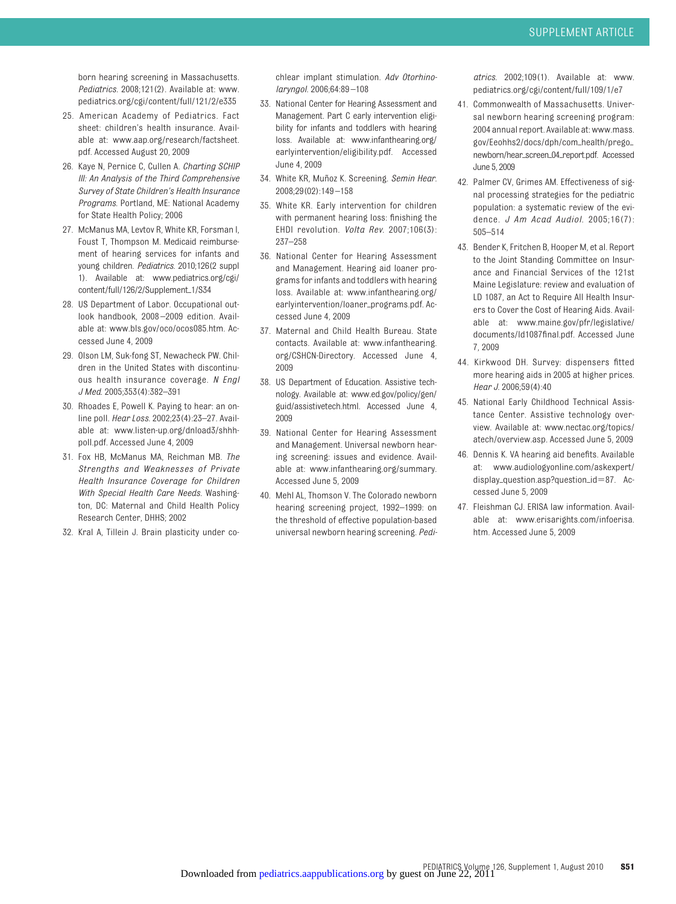born hearing screening in Massachusetts. *Pediatrics.* 2008;121(2). Available at: www. pediatrics.org/cgi/content/full/121/2/e335

- 25. American Academy of Pediatrics. Fact sheet: children's health insurance. Available at: www.aap.org/research/factsheet. pdf. Accessed August 20, 2009
- 26. Kaye N, Pernice C, Cullen A. *Charting SCHIP III: An Analysis of the Third Comprehensive Survey of State Children's Health Insurance Programs*. Portland, ME: National Academy for State Health Policy; 2006
- 27. McManus MA, Levtov R, White KR, Forsman I, Foust T, Thompson M. Medicaid reimbursement of hearing services for infants and young children. *Pediatrics.* 2010;126(2 suppl 1). Available at: www.pediatrics.org/cgi/ content/full/126/2/Supplement\_1/S34
- 28. US Department of Labor. Occupational outlook handbook, 2008 –2009 edition. Available at: www.bls.gov/oco/ocos085.htm. Accessed June 4, 2009
- 29. Olson LM, Suk-fong ST, Newacheck PW. Children in the United States with discontinuous health insurance coverage. *N Engl J Med.* 2005;353(4):382–391
- 30. Rhoades E, Powell K. Paying to hear: an online poll. *Hear Loss.* 2002;23(4):23–27. Available at: www.listen-up.org/dnload3/shhhpoll.pdf. Accessed June 4, 2009
- 31. Fox HB, McManus MA, Reichman MB. *The Strengths and Weaknesses of Private Health Insurance Coverage for Children With Special Health Care Needs*. Washington, DC: Maternal and Child Health Policy Research Center, DHHS; 2002
- 32. Kral A, Tillein J. Brain plasticity under co-

chlear implant stimulation. *Adv Otorhinolaryngol.* 2006;64:89 –108

- 33. National Center for Hearing Assessment and Management. Part C early intervention eligibility for infants and toddlers with hearing loss. Available at: www.infanthearing.org/ earlyintervention/eligibility.pdf. Accessed June 4, 2009
- 34. White KR, Muñoz K. Screening. Semin Hear. 2008;29(02):149 –158
- 35. White KR. Early intervention for children with permanent hearing loss: finishing the EHDI revolution. *Volta Rev.* 2007;106(3): 237–258
- 36. National Center for Hearing Assessment and Management. Hearing aid loaner programs for infants and toddlers with hearing loss. Available at: www.infanthearing.org/ earlyintervention/loaner-programs.pdf. Accessed June 4, 2009
- 37. Maternal and Child Health Bureau. State contacts. Available at: www.infanthearing. org/CSHCN-Directory. Accessed June 4, 2009
- 38. US Department of Education. Assistive technology. Available at: www.ed.gov/policy/gen/ guid/assistivetech.html. Accessed June 4, 2009
- 39. National Center for Hearing Assessment and Management. Universal newborn hearing screening: issues and evidence. Available at: www.infanthearing.org/summary. Accessed June 5, 2009
- 40. Mehl AL, Thomson V. The Colorado newborn hearing screening project, 1992–1999: on the threshold of effective population-based universal newborn hearing screening. *Pedi-*

*atrics.* 2002;109(1). Available at: www. pediatrics.org/cgi/content/full/109/1/e7

- 41. Commonwealth of Massachusetts. Universal newborn hearing screening program: 2004 annual report. Available at: www.mass. gov/Eeohhs2/docs/dph/com-health/pregonewborn/hear-screen-04-report.pdf. Accessed June 5, 2009
- 42. Palmer CV, Grimes AM. Effectiveness of signal processing strategies for the pediatric population: a systematic review of the evidence. *J Am Acad Audiol.* 2005;16(7): 505–514
- 43. Bender K, Fritchen B, Hooper M, et al. Report to the Joint Standing Committee on Insurance and Financial Services of the 121st Maine Legislature: review and evaluation of LD 1087, an Act to Require All Health Insurers to Cover the Cost of Hearing Aids. Available at: www.maine.gov/pfr/legislative/ documents/ld1087final.pdf. Accessed June 7, 2009
- 44. Kirkwood DH. Survey: dispensers fitted more hearing aids in 2005 at higher prices. *Hear J.* 2006;59(4):40
- 45. National Early Childhood Technical Assistance Center. Assistive technology overview. Available at: www.nectac.org/topics/ atech/overview.asp. Accessed June 5, 2009
- 46. Dennis K. VA hearing aid benefits. Available at: www.audiologyonline.com/askexpert/ display\_question.asp?question\_id=87. Accessed June 5, 2009
- 47. Fleishman CJ. ERISA law information. Available at: www.erisarights.com/infoerisa. htm. Accessed June 5, 2009